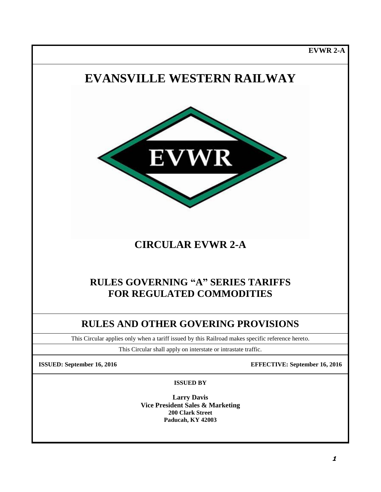**EVWR 2-A**

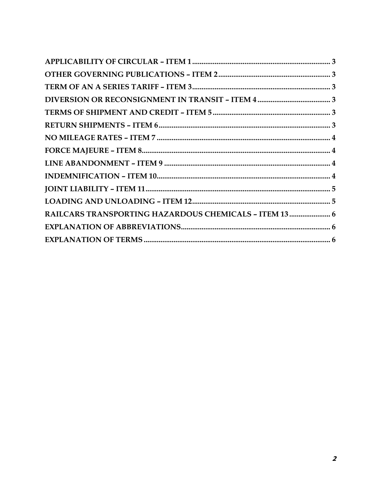| RAILCARS TRANSPORTING HAZARDOUS CHEMICALS - ITEM 13  6 |  |
|--------------------------------------------------------|--|
|                                                        |  |
|                                                        |  |
|                                                        |  |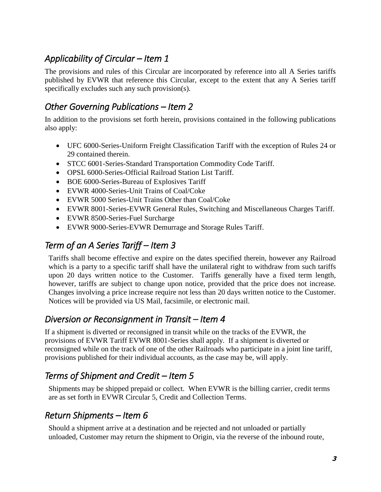# <span id="page-2-0"></span>*Applicability of Circular – Item 1*

The provisions and rules of this Circular are incorporated by reference into all A Series tariffs published by EVWR that reference this Circular, except to the extent that any A Series tariff specifically excludes such any such provision(s).

#### <span id="page-2-1"></span>*Other Governing Publications – Item 2*

In addition to the provisions set forth herein, provisions contained in the following publications also apply:

- UFC 6000-Series-Uniform Freight Classification Tariff with the exception of Rules 24 or 29 contained therein.
- STCC 6001-Series-Standard Transportation Commodity Code Tariff.
- OPSL 6000-Series-Official Railroad Station List Tariff.
- BOE 6000-Series-Bureau of Explosives Tariff
- EVWR 4000-Series-Unit Trains of Coal/Coke
- EVWR 5000 Series-Unit Trains Other than Coal/Coke
- EVWR 8001-Series-EVWR General Rules, Switching and Miscellaneous Charges Tariff.
- EVWR 8500-Series-Fuel Surcharge
- EVWR 9000-Series-EVWR Demurrage and Storage Rules Tariff.

## <span id="page-2-2"></span>*Term of an A Series Tariff – Item 3*

Tariffs shall become effective and expire on the dates specified therein, however any Railroad which is a party to a specific tariff shall have the unilateral right to withdraw from such tariffs upon 20 days written notice to the Customer. Tariffs generally have a fixed term length, however, tariffs are subject to change upon notice, provided that the price does not increase. Changes involving a price increase require not less than 20 days written notice to the Customer. Notices will be provided via US Mail, facsimile, or electronic mail.

#### <span id="page-2-3"></span>*Diversion or Reconsignment in Transit – Item 4*

If a shipment is diverted or reconsigned in transit while on the tracks of the EVWR, the provisions of EVWR Tariff EVWR 8001-Series shall apply. If a shipment is diverted or reconsigned while on the track of one of the other Railroads who participate in a joint line tariff, provisions published for their individual accounts, as the case may be, will apply.

### <span id="page-2-4"></span>*Terms of Shipment and Credit – Item 5*

Shipments may be shipped prepaid or collect. When EVWR is the billing carrier, credit terms are as set forth in EVWR Circular 5, Credit and Collection Terms.

#### <span id="page-2-5"></span>*Return Shipments – Item 6*

Should a shipment arrive at a destination and be rejected and not unloaded or partially unloaded, Customer may return the shipment to Origin, via the reverse of the inbound route,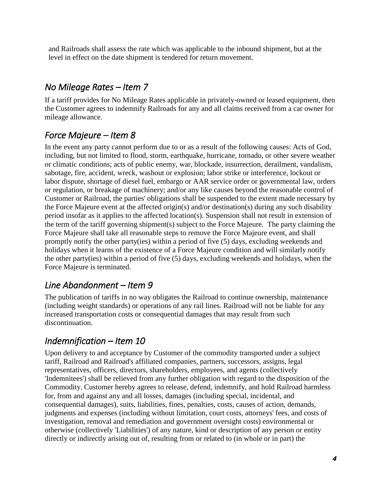and Railroads shall assess the rate which was applicable to the inbound shipment, but at the level in effect on the date shipment is tendered for return movement.

# <span id="page-3-0"></span>*No Mileage Rates – Item 7*

If a tariff provides for No Mileage Rates applicable in privately-owned or leased equipment, then the Customer agrees to indemnify Railroads for any and all claims received from a car owner for mileage allowance.

# <span id="page-3-1"></span>*Force Majeure – Item 8*

In the event any party cannot perform due to or as a result of the following causes: Acts of God, including, but not limited to flood, storm, earthquake, hurricane, tornado, or other severe weather or climatic conditions; acts of public enemy, war, blockade, insurrection, derailment, vandalism, sabotage, fire, accident, wreck, washout or explosion; labor strike or interference, lockout or labor dispute, shortage of diesel fuel, embargo or AAR service order or governmental law, orders or regulation, or breakage of machinery; and/or any like causes beyond the reasonable control of Customer or Railroad, the parties' obligations shall be suspended to the extent made necessary by the Force Majeure event at the affected origin(s) and/or destination(s) during any such disability period insofar as it applies to the affected location(s). Suspension shall not result in extension of the term of the tariff governing shipment(s) subject to the Force Majeure. The party claiming the Force Majeure shall take all reasonable steps to remove the Force Majeure event, and shall promptly notify the other party(ies) within a period of five (5) days, excluding weekends and holidays when it learns of the existence of a Force Majeure condition and will similarly notify the other party(ies) within a period of five (5) days, excluding weekends and holidays, when the Force Majeure is terminated.

### <span id="page-3-2"></span>*Line Abandonment – Item 9*

The publication of tariffs in no way obligates the Railroad to continue ownership, maintenance (including weight standards) or operations of any rail lines. Railroad will not be liable for any increased transportation costs or consequential damages that may result from such discontinuation.

### <span id="page-3-3"></span>*Indemnification – Item 10*

Upon delivery to and acceptance by Customer of the commodity transported under a subject tariff, Railroad and Railroad's affiliated companies, partners, successors, assigns, legal representatives, officers, directors, shareholders, employees, and agents (collectively 'Indemnitees') shall be relieved from any further obligation with regard to the disposition of the Commodity. Customer hereby agrees to release, defend, indemnify, and hold Railroad harmless for, from and against any and all losses, damages (including special, incidental, and consequential damages), suits, liabilities, fines, penalties, costs, causes of action, demands, judgments and expenses (including without limitation, court costs, attorneys' fees, and costs of investigation, removal and remediation and government oversight costs) environmental or otherwise (collectively 'Liabilities') of any nature, kind or description of any person or entity directly or indirectly arising out of, resulting from or related to (in whole or in part) the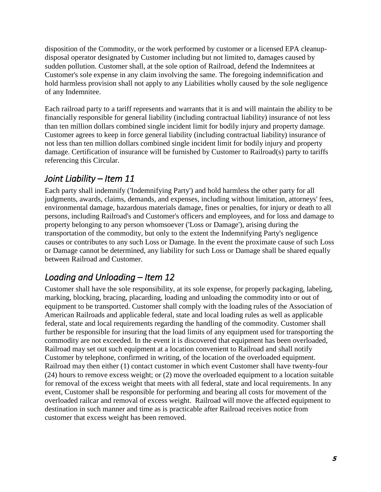disposition of the Commodity, or the work performed by customer or a licensed EPA cleanupdisposal operator designated by Customer including but not limited to, damages caused by sudden pollution. Customer shall, at the sole option of Railroad, defend the Indemnitees at Customer's sole expense in any claim involving the same. The foregoing indemnification and hold harmless provision shall not apply to any Liabilities wholly caused by the sole negligence of any Indemnitee.

Each railroad party to a tariff represents and warrants that it is and will maintain the ability to be financially responsible for general liability (including contractual liability) insurance of not less than ten million dollars combined single incident limit for bodily injury and property damage. Customer agrees to keep in force general liability (including contractual liability) insurance of not less than ten million dollars combined single incident limit for bodily injury and property damage. Certification of insurance will be furnished by Customer to Railroad(s) party to tariffs referencing this Circular.

### <span id="page-4-0"></span>*Joint Liability – Item 11*

Each party shall indemnify ('Indemnifying Party') and hold harmless the other party for all judgments, awards, claims, demands, and expenses, including without limitation, attorneys' fees, environmental damage, hazardous materials damage, fines or penalties, for injury or death to all persons, including Railroad's and Customer's officers and employees, and for loss and damage to property belonging to any person whomsoever ('Loss or Damage'), arising during the transportation of the commodity, but only to the extent the Indemnifying Party's negligence causes or contributes to any such Loss or Damage. In the event the proximate cause of such Loss or Damage cannot be determined, any liability for such Loss or Damage shall be shared equally between Railroad and Customer.

# <span id="page-4-1"></span>*Loading and Unloading – Item 12*

Customer shall have the sole responsibility, at its sole expense, for properly packaging, labeling, marking, blocking, bracing, placarding, loading and unloading the commodity into or out of equipment to be transported. Customer shall comply with the loading rules of the Association of American Railroads and applicable federal, state and local loading rules as well as applicable federal, state and local requirements regarding the handling of the commodity. Customer shall further be responsible for insuring that the load limits of any equipment used for transporting the commodity are not exceeded. In the event it is discovered that equipment has been overloaded, Railroad may set out such equipment at a location convenient to Railroad and shall notify Customer by telephone, confirmed in writing, of the location of the overloaded equipment. Railroad may then either (1) contact customer in which event Customer shall have twenty-four (24) hours to remove excess weight; or (2) move the overloaded equipment to a location suitable for removal of the excess weight that meets with all federal, state and local requirements. In any event, Customer shall be responsible for performing and bearing all costs for movement of the overloaded railcar and removal of excess weight. Railroad will move the affected equipment to destination in such manner and time as is practicable after Railroad receives notice from customer that excess weight has been removed.